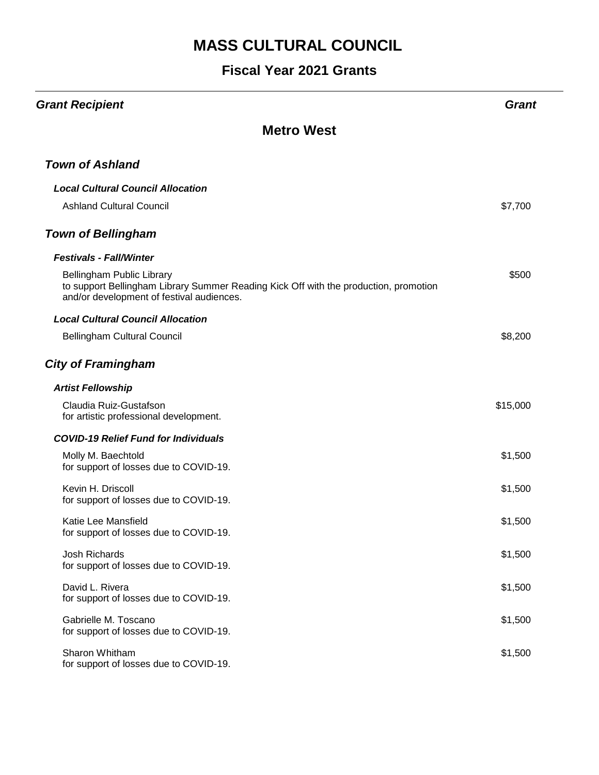| <b>Grant Recipient</b>                                                                                                                                         | Grant    |
|----------------------------------------------------------------------------------------------------------------------------------------------------------------|----------|
| <b>Metro West</b>                                                                                                                                              |          |
| <b>Town of Ashland</b>                                                                                                                                         |          |
| <b>Local Cultural Council Allocation</b>                                                                                                                       |          |
| <b>Ashland Cultural Council</b>                                                                                                                                | \$7,700  |
| <b>Town of Bellingham</b>                                                                                                                                      |          |
| <b>Festivals - Fall/Winter</b>                                                                                                                                 |          |
| Bellingham Public Library<br>to support Bellingham Library Summer Reading Kick Off with the production, promotion<br>and/or development of festival audiences. | \$500    |
| <b>Local Cultural Council Allocation</b>                                                                                                                       |          |
| <b>Bellingham Cultural Council</b>                                                                                                                             | \$8,200  |
| <b>City of Framingham</b>                                                                                                                                      |          |
| <b>Artist Fellowship</b>                                                                                                                                       |          |
| Claudia Ruiz-Gustafson<br>for artistic professional development.                                                                                               | \$15,000 |
| <b>COVID-19 Relief Fund for Individuals</b>                                                                                                                    |          |
| Molly M. Baechtold<br>for support of losses due to COVID-19.                                                                                                   | \$1,500  |
| Kevin H. Driscoll<br>for support of losses due to COVID-19.                                                                                                    | \$1,500  |
| Katie Lee Mansfield<br>for support of losses due to COVID-19.                                                                                                  | \$1,500  |
| <b>Josh Richards</b><br>for support of losses due to COVID-19.                                                                                                 | \$1,500  |
| David L. Rivera<br>for support of losses due to COVID-19.                                                                                                      | \$1,500  |
| Gabrielle M. Toscano<br>for support of losses due to COVID-19.                                                                                                 | \$1,500  |
| Sharon Whitham<br>for support of losses due to COVID-19.                                                                                                       | \$1,500  |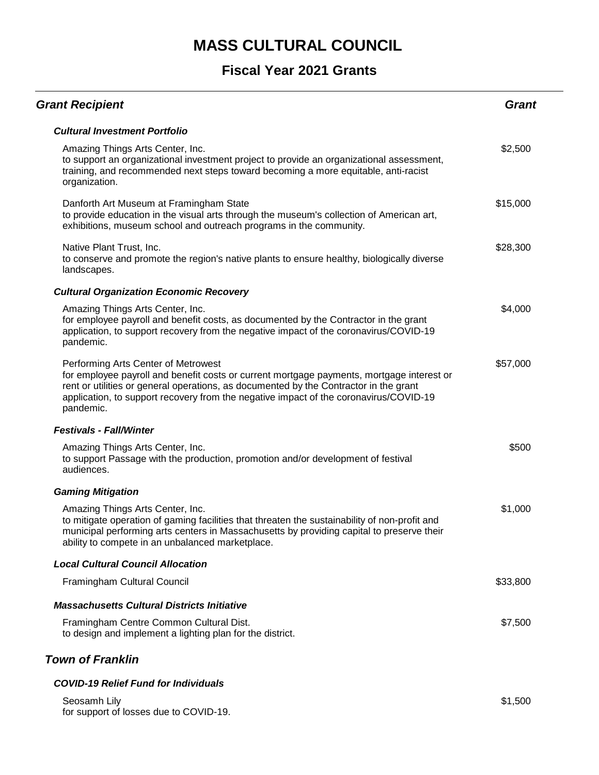### **Fiscal Year 2021 Grants**

| <b>Grant Recipient</b>                                                                                                                                                                                                                                                                                                          | <b>Grant</b> |
|---------------------------------------------------------------------------------------------------------------------------------------------------------------------------------------------------------------------------------------------------------------------------------------------------------------------------------|--------------|
| <b>Cultural Investment Portfolio</b>                                                                                                                                                                                                                                                                                            |              |
| Amazing Things Arts Center, Inc.<br>to support an organizational investment project to provide an organizational assessment,<br>training, and recommended next steps toward becoming a more equitable, anti-racist<br>organization.                                                                                             | \$2,500      |
| Danforth Art Museum at Framingham State<br>to provide education in the visual arts through the museum's collection of American art,<br>exhibitions, museum school and outreach programs in the community.                                                                                                                       | \$15,000     |
| Native Plant Trust, Inc.<br>to conserve and promote the region's native plants to ensure healthy, biologically diverse<br>landscapes.                                                                                                                                                                                           | \$28,300     |
| <b>Cultural Organization Economic Recovery</b>                                                                                                                                                                                                                                                                                  |              |
| Amazing Things Arts Center, Inc.<br>for employee payroll and benefit costs, as documented by the Contractor in the grant<br>application, to support recovery from the negative impact of the coronavirus/COVID-19<br>pandemic.                                                                                                  | \$4,000      |
| Performing Arts Center of Metrowest<br>for employee payroll and benefit costs or current mortgage payments, mortgage interest or<br>rent or utilities or general operations, as documented by the Contractor in the grant<br>application, to support recovery from the negative impact of the coronavirus/COVID-19<br>pandemic. | \$57,000     |
| <b>Festivals - Fall/Winter</b>                                                                                                                                                                                                                                                                                                  |              |
| Amazing Things Arts Center, Inc.<br>to support Passage with the production, promotion and/or development of festival<br>audiences.                                                                                                                                                                                              | \$500        |
| <b>Gaming Mitigation</b>                                                                                                                                                                                                                                                                                                        |              |
| Amazing Things Arts Center, Inc.<br>to mitigate operation of gaming facilities that threaten the sustainability of non-profit and<br>municipal performing arts centers in Massachusetts by providing capital to preserve their<br>ability to compete in an unbalanced marketplace.                                              | \$1,000      |
| <b>Local Cultural Council Allocation</b>                                                                                                                                                                                                                                                                                        |              |
| Framingham Cultural Council                                                                                                                                                                                                                                                                                                     | \$33,800     |
| <b>Massachusetts Cultural Districts Initiative</b>                                                                                                                                                                                                                                                                              |              |
| Framingham Centre Common Cultural Dist.<br>to design and implement a lighting plan for the district.                                                                                                                                                                                                                            | \$7,500      |
| <b>Town of Franklin</b>                                                                                                                                                                                                                                                                                                         |              |
| <b>COVID-19 Relief Fund for Individuals</b>                                                                                                                                                                                                                                                                                     |              |

| Seosamh Lily                           |  |  |
|----------------------------------------|--|--|
| for support of losses due to COVID-19. |  |  |

\$1,500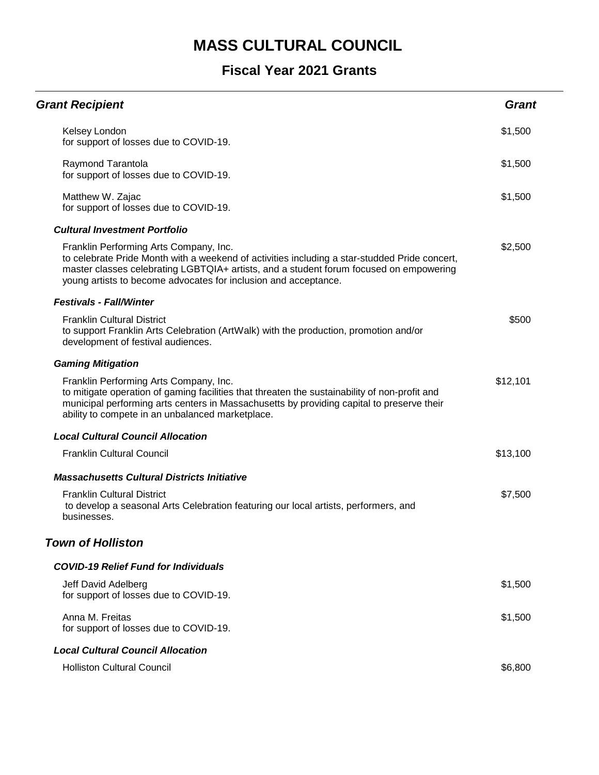| <b>Grant Recipient</b>                                                                                                                                                                                                                                                                               | <b>Grant</b> |
|------------------------------------------------------------------------------------------------------------------------------------------------------------------------------------------------------------------------------------------------------------------------------------------------------|--------------|
| Kelsey London<br>for support of losses due to COVID-19.                                                                                                                                                                                                                                              | \$1,500      |
| Raymond Tarantola<br>for support of losses due to COVID-19.                                                                                                                                                                                                                                          | \$1,500      |
| Matthew W. Zajac<br>for support of losses due to COVID-19.                                                                                                                                                                                                                                           | \$1,500      |
| <b>Cultural Investment Portfolio</b>                                                                                                                                                                                                                                                                 |              |
| Franklin Performing Arts Company, Inc.<br>to celebrate Pride Month with a weekend of activities including a star-studded Pride concert,<br>master classes celebrating LGBTQIA+ artists, and a student forum focused on empowering<br>young artists to become advocates for inclusion and acceptance. | \$2,500      |
| <b>Festivals - Fall/Winter</b>                                                                                                                                                                                                                                                                       |              |
| <b>Franklin Cultural District</b><br>to support Franklin Arts Celebration (ArtWalk) with the production, promotion and/or<br>development of festival audiences.                                                                                                                                      | \$500        |
| <b>Gaming Mitigation</b>                                                                                                                                                                                                                                                                             |              |
| Franklin Performing Arts Company, Inc.<br>to mitigate operation of gaming facilities that threaten the sustainability of non-profit and<br>municipal performing arts centers in Massachusetts by providing capital to preserve their<br>ability to compete in an unbalanced marketplace.             | \$12,101     |
| <b>Local Cultural Council Allocation</b>                                                                                                                                                                                                                                                             |              |
| <b>Franklin Cultural Council</b>                                                                                                                                                                                                                                                                     | \$13,100     |
| <b>Massachusetts Cultural Districts Initiative</b>                                                                                                                                                                                                                                                   |              |
| <b>Franklin Cultural District</b><br>to develop a seasonal Arts Celebration featuring our local artists, performers, and<br>businesses.                                                                                                                                                              | \$7,500      |
| <b>Town of Holliston</b>                                                                                                                                                                                                                                                                             |              |
| <b>COVID-19 Relief Fund for Individuals</b>                                                                                                                                                                                                                                                          |              |
| Jeff David Adelberg<br>for support of losses due to COVID-19.                                                                                                                                                                                                                                        | \$1,500      |
| Anna M. Freitas<br>for support of losses due to COVID-19.                                                                                                                                                                                                                                            | \$1,500      |
| <b>Local Cultural Council Allocation</b>                                                                                                                                                                                                                                                             |              |
| <b>Holliston Cultural Council</b>                                                                                                                                                                                                                                                                    | \$6,800      |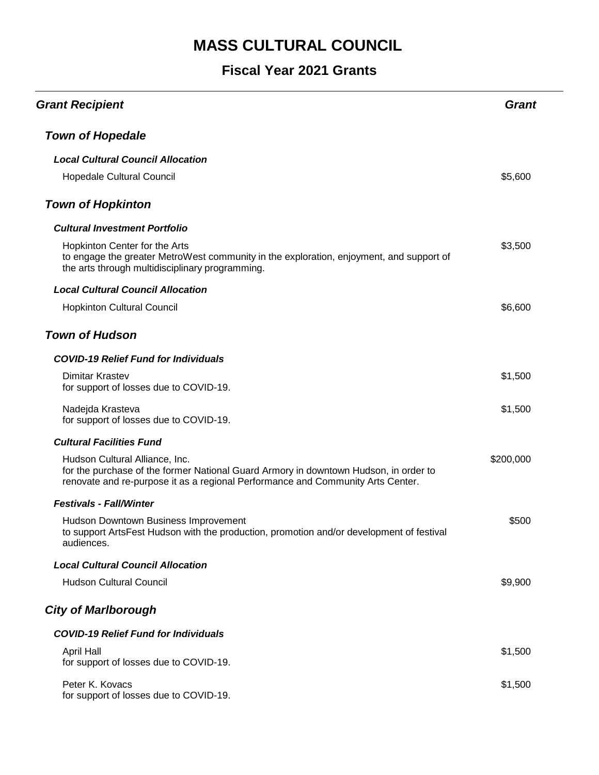| <b>Grant Recipient</b>                                                                                                                                                                                    | Grant     |
|-----------------------------------------------------------------------------------------------------------------------------------------------------------------------------------------------------------|-----------|
| <b>Town of Hopedale</b>                                                                                                                                                                                   |           |
| <b>Local Cultural Council Allocation</b>                                                                                                                                                                  |           |
| Hopedale Cultural Council                                                                                                                                                                                 | \$5,600   |
| <b>Town of Hopkinton</b>                                                                                                                                                                                  |           |
| <b>Cultural Investment Portfolio</b>                                                                                                                                                                      |           |
| Hopkinton Center for the Arts<br>to engage the greater MetroWest community in the exploration, enjoyment, and support of<br>the arts through multidisciplinary programming.                               | \$3,500   |
| <b>Local Cultural Council Allocation</b>                                                                                                                                                                  |           |
| <b>Hopkinton Cultural Council</b>                                                                                                                                                                         | \$6,600   |
| <b>Town of Hudson</b>                                                                                                                                                                                     |           |
| <b>COVID-19 Relief Fund for Individuals</b>                                                                                                                                                               |           |
| Dimitar Krastev<br>for support of losses due to COVID-19.                                                                                                                                                 | \$1,500   |
| Nadejda Krasteva<br>for support of losses due to COVID-19.                                                                                                                                                | \$1,500   |
| <b>Cultural Facilities Fund</b>                                                                                                                                                                           |           |
| Hudson Cultural Alliance, Inc.<br>for the purchase of the former National Guard Armory in downtown Hudson, in order to<br>renovate and re-purpose it as a regional Performance and Community Arts Center. | \$200,000 |
| <b>Festivals - Fall/Winter</b>                                                                                                                                                                            |           |
| Hudson Downtown Business Improvement<br>to support ArtsFest Hudson with the production, promotion and/or development of festival<br>audiences.                                                            | \$500     |
| <b>Local Cultural Council Allocation</b>                                                                                                                                                                  |           |
| <b>Hudson Cultural Council</b>                                                                                                                                                                            | \$9,900   |
| <b>City of Marlborough</b>                                                                                                                                                                                |           |
| <b>COVID-19 Relief Fund for Individuals</b>                                                                                                                                                               |           |
| <b>April Hall</b><br>for support of losses due to COVID-19.                                                                                                                                               | \$1,500   |
| Peter K. Kovacs<br>for support of losses due to COVID-19.                                                                                                                                                 | \$1,500   |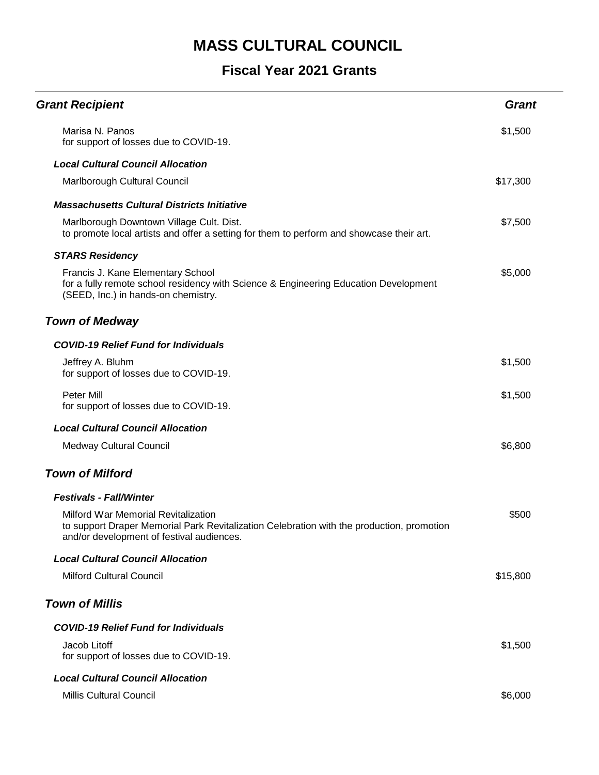| <b>Grant Recipient</b>                                                                                                                                                        | <b>Grant</b> |
|-------------------------------------------------------------------------------------------------------------------------------------------------------------------------------|--------------|
| Marisa N. Panos<br>for support of losses due to COVID-19.                                                                                                                     | \$1,500      |
| <b>Local Cultural Council Allocation</b>                                                                                                                                      |              |
| Marlborough Cultural Council                                                                                                                                                  | \$17,300     |
| <b>Massachusetts Cultural Districts Initiative</b>                                                                                                                            |              |
| Marlborough Downtown Village Cult. Dist.<br>to promote local artists and offer a setting for them to perform and showcase their art.                                          | \$7,500      |
| <b>STARS Residency</b>                                                                                                                                                        |              |
| Francis J. Kane Elementary School<br>for a fully remote school residency with Science & Engineering Education Development<br>(SEED, Inc.) in hands-on chemistry.              | \$5,000      |
| <b>Town of Medway</b>                                                                                                                                                         |              |
| <b>COVID-19 Relief Fund for Individuals</b>                                                                                                                                   |              |
| Jeffrey A. Bluhm<br>for support of losses due to COVID-19.                                                                                                                    | \$1,500      |
| Peter Mill<br>for support of losses due to COVID-19.                                                                                                                          | \$1,500      |
| <b>Local Cultural Council Allocation</b>                                                                                                                                      |              |
| <b>Medway Cultural Council</b>                                                                                                                                                | \$6,800      |
| <b>Town of Milford</b>                                                                                                                                                        |              |
| <b>Festivals - Fall/Winter</b>                                                                                                                                                |              |
| Milford War Memorial Revitalization<br>to support Draper Memorial Park Revitalization Celebration with the production, promotion<br>and/or development of festival audiences. | \$500        |
| <b>Local Cultural Council Allocation</b>                                                                                                                                      |              |
| <b>Milford Cultural Council</b>                                                                                                                                               | \$15,800     |
| <b>Town of Millis</b>                                                                                                                                                         |              |
| <b>COVID-19 Relief Fund for Individuals</b>                                                                                                                                   |              |
| Jacob Litoff<br>for support of losses due to COVID-19.                                                                                                                        | \$1,500      |
| <b>Local Cultural Council Allocation</b>                                                                                                                                      |              |
| <b>Millis Cultural Council</b>                                                                                                                                                | \$6,000      |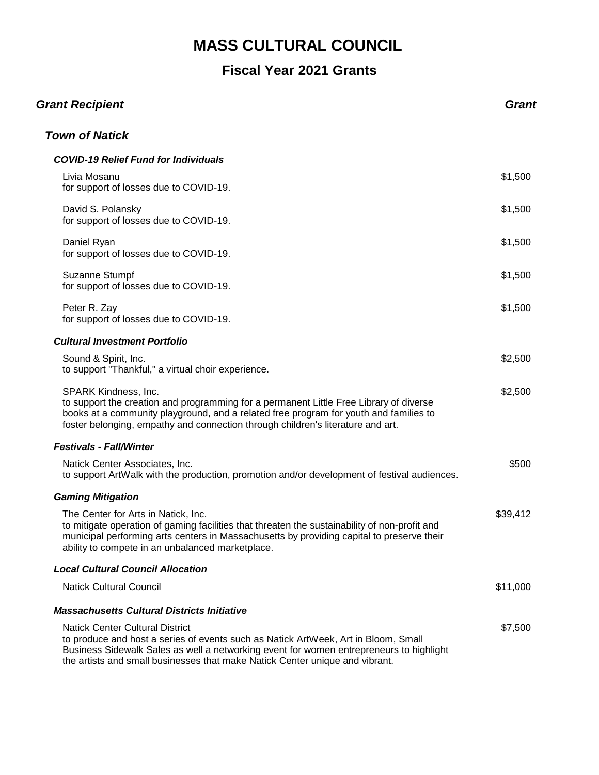| <b>Grant Recipient</b>                                                                                                                                                                                                                                                                                  | <b>Grant</b> |
|---------------------------------------------------------------------------------------------------------------------------------------------------------------------------------------------------------------------------------------------------------------------------------------------------------|--------------|
| <b>Town of Natick</b>                                                                                                                                                                                                                                                                                   |              |
| <b>COVID-19 Relief Fund for Individuals</b>                                                                                                                                                                                                                                                             |              |
| Livia Mosanu<br>for support of losses due to COVID-19.                                                                                                                                                                                                                                                  | \$1,500      |
| David S. Polansky<br>for support of losses due to COVID-19.                                                                                                                                                                                                                                             | \$1,500      |
| Daniel Ryan<br>for support of losses due to COVID-19.                                                                                                                                                                                                                                                   | \$1,500      |
| Suzanne Stumpf<br>for support of losses due to COVID-19.                                                                                                                                                                                                                                                | \$1,500      |
| Peter R. Zay<br>for support of losses due to COVID-19.                                                                                                                                                                                                                                                  | \$1,500      |
| <b>Cultural Investment Portfolio</b>                                                                                                                                                                                                                                                                    |              |
| Sound & Spirit, Inc.<br>to support "Thankful," a virtual choir experience.                                                                                                                                                                                                                              | \$2,500      |
| SPARK Kindness, Inc.<br>to support the creation and programming for a permanent Little Free Library of diverse<br>books at a community playground, and a related free program for youth and families to<br>foster belonging, empathy and connection through children's literature and art.              | \$2,500      |
| <b>Festivals - Fall/Winter</b>                                                                                                                                                                                                                                                                          |              |
| Natick Center Associates, Inc.<br>to support ArtWalk with the production, promotion and/or development of festival audiences.                                                                                                                                                                           | \$500        |
| <b>Gaming Mitigation</b>                                                                                                                                                                                                                                                                                |              |
| The Center for Arts in Natick, Inc.<br>to mitigate operation of gaming facilities that threaten the sustainability of non-profit and<br>municipal performing arts centers in Massachusetts by providing capital to preserve their<br>ability to compete in an unbalanced marketplace.                   | \$39,412     |
| <b>Local Cultural Council Allocation</b>                                                                                                                                                                                                                                                                |              |
| <b>Natick Cultural Council</b>                                                                                                                                                                                                                                                                          | \$11,000     |
| <b>Massachusetts Cultural Districts Initiative</b>                                                                                                                                                                                                                                                      |              |
| <b>Natick Center Cultural District</b><br>to produce and host a series of events such as Natick ArtWeek, Art in Bloom, Small<br>Business Sidewalk Sales as well a networking event for women entrepreneurs to highlight<br>the artists and small businesses that make Natick Center unique and vibrant. | \$7,500      |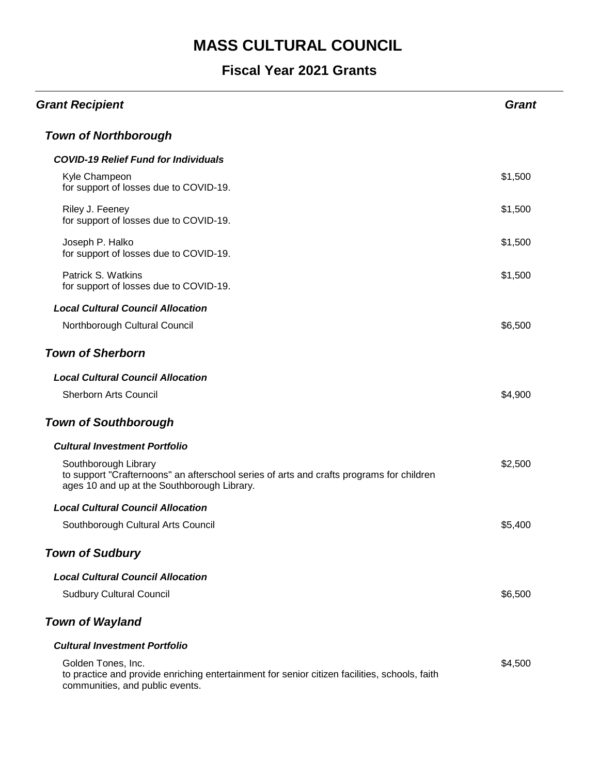| <b>Grant Recipient</b>                                                                                                                                          | <b>Grant</b> |
|-----------------------------------------------------------------------------------------------------------------------------------------------------------------|--------------|
| <b>Town of Northborough</b>                                                                                                                                     |              |
| <b>COVID-19 Relief Fund for Individuals</b>                                                                                                                     |              |
| Kyle Champeon<br>for support of losses due to COVID-19.                                                                                                         | \$1,500      |
| Riley J. Feeney<br>for support of losses due to COVID-19.                                                                                                       | \$1,500      |
| Joseph P. Halko<br>for support of losses due to COVID-19.                                                                                                       | \$1,500      |
| Patrick S. Watkins<br>for support of losses due to COVID-19.                                                                                                    | \$1,500      |
| <b>Local Cultural Council Allocation</b>                                                                                                                        |              |
| Northborough Cultural Council                                                                                                                                   | \$6,500      |
| <b>Town of Sherborn</b>                                                                                                                                         |              |
| <b>Local Cultural Council Allocation</b>                                                                                                                        |              |
| <b>Sherborn Arts Council</b>                                                                                                                                    | \$4,900      |
| <b>Town of Southborough</b>                                                                                                                                     |              |
| <b>Cultural Investment Portfolio</b>                                                                                                                            |              |
| Southborough Library<br>to support "Crafternoons" an afterschool series of arts and crafts programs for children<br>ages 10 and up at the Southborough Library. | \$2,500      |
| <b>Local Cultural Council Allocation</b>                                                                                                                        |              |
| Southborough Cultural Arts Council                                                                                                                              | \$5,400      |
| <b>Town of Sudbury</b>                                                                                                                                          |              |
| <b>Local Cultural Council Allocation</b>                                                                                                                        |              |
| <b>Sudbury Cultural Council</b>                                                                                                                                 | \$6,500      |
| <b>Town of Wayland</b>                                                                                                                                          |              |
| <b>Cultural Investment Portfolio</b>                                                                                                                            |              |
| Golden Tones, Inc.<br>to practice and provide enriching entertainment for senior citizen facilities, schools, faith<br>communities, and public events.          | \$4,500      |